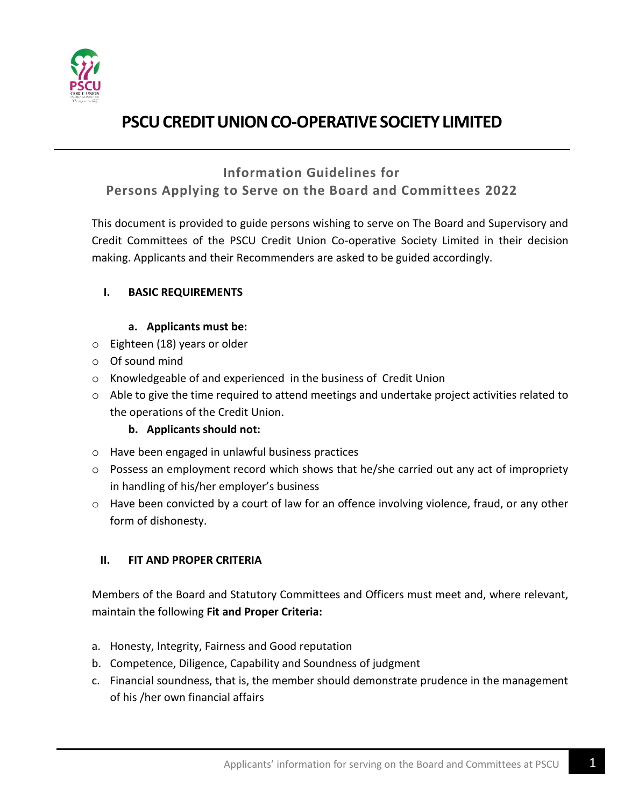

### **Information Guidelines for**

### **Persons Applying to Serve on the Board and Committees 2022**

This document is provided to guide persons wishing to serve on The Board and Supervisory and Credit Committees of the PSCU Credit Union Co-operative Society Limited in their decision making. Applicants and their Recommenders are asked to be guided accordingly.

#### **I. BASIC REQUIREMENTS**

#### **a. Applicants must be:**

- o Eighteen (18) years or older
- o Of sound mind
- o Knowledgeable of and experienced in the business of Credit Union
- $\circ$  Able to give the time required to attend meetings and undertake project activities related to the operations of the Credit Union.

### **b. Applicants should not:**

- o Have been engaged in unlawful business practices
- $\circ$  Possess an employment record which shows that he/she carried out any act of impropriety in handling of his/her employer's business
- o Have been convicted by a court of law for an offence involving violence, fraud, or any other form of dishonesty.

### **II. FIT AND PROPER CRITERIA**

Members of the Board and Statutory Committees and Officers must meet and, where relevant, maintain the following **Fit and Proper Criteria:**

- a. Honesty, Integrity, Fairness and Good reputation
- b. Competence, Diligence, Capability and Soundness of judgment
- c. Financial soundness, that is, the member should demonstrate prudence in the management of his /her own financial affairs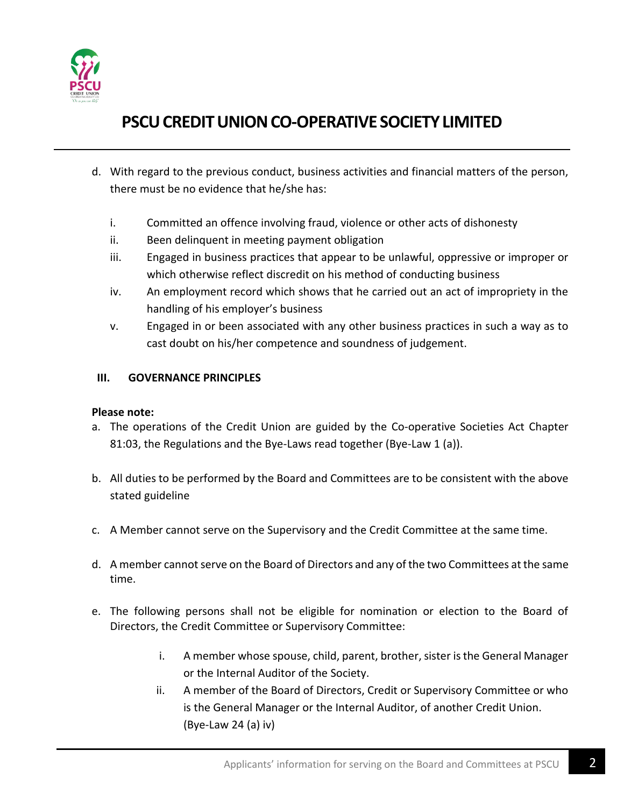

- d. With regard to the previous conduct, business activities and financial matters of the person, there must be no evidence that he/she has:
	- i. Committed an offence involving fraud, violence or other acts of dishonesty
	- ii. Been delinquent in meeting payment obligation
	- iii. Engaged in business practices that appear to be unlawful, oppressive or improper or which otherwise reflect discredit on his method of conducting business
	- iv. An employment record which shows that he carried out an act of impropriety in the handling of his employer's business
	- v. Engaged in or been associated with any other business practices in such a way as to cast doubt on his/her competence and soundness of judgement.

#### **III. GOVERNANCE PRINCIPLES**

#### **Please note:**

- a. The operations of the Credit Union are guided by the Co-operative Societies Act Chapter 81:03, the Regulations and the Bye-Laws read together (Bye-Law 1 (a)).
- b. All duties to be performed by the Board and Committees are to be consistent with the above stated guideline
- c. A Member cannot serve on the Supervisory and the Credit Committee at the same time.
- d. A member cannot serve on the Board of Directors and any of the two Committees at the same time.
- e. The following persons shall not be eligible for nomination or election to the Board of Directors, the Credit Committee or Supervisory Committee:
	- i. A member whose spouse, child, parent, brother, sister is the General Manager or the Internal Auditor of the Society.
	- ii. A member of the Board of Directors, Credit or Supervisory Committee or who is the General Manager or the Internal Auditor, of another Credit Union. (Bye-Law 24 (a) iv)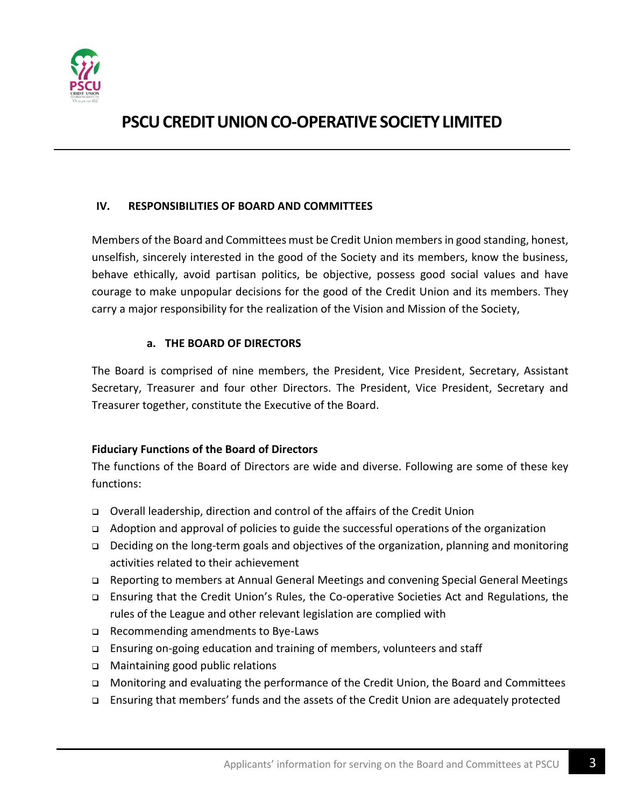

#### **IV. RESPONSIBILITIES OF BOARD AND COMMITTEES**

Members of the Board and Committees must be Credit Union members in good standing, honest, unselfish, sincerely interested in the good of the Society and its members, know the business, behave ethically, avoid partisan politics, be objective, possess good social values and have courage to make unpopular decisions for the good of the Credit Union and its members. They carry a major responsibility for the realization of the Vision and Mission of the Society,

#### **a. THE BOARD OF DIRECTORS**

The Board is comprised of nine members, the President, Vice President, Secretary, Assistant Secretary, Treasurer and four other Directors. The President, Vice President, Secretary and Treasurer together, constitute the Executive of the Board.

#### **Fiduciary Functions of the Board of Directors**

The functions of the Board of Directors are wide and diverse. Following are some of these key functions:

- ❑ Overall leadership, direction and control of the affairs of the Credit Union
- ❑ Adoption and approval of policies to guide the successful operations of the organization
- ❑ Deciding on the long-term goals and objectives of the organization, planning and monitoring activities related to their achievement
- ❑ Reporting to members at Annual General Meetings and convening Special General Meetings
- ❑ Ensuring that the Credit Union's Rules, the Co-operative Societies Act and Regulations, the rules of the League and other relevant legislation are complied with
- ❑ Recommending amendments to Bye-Laws
- ❑ Ensuring on-going education and training of members, volunteers and staff
- ❑ Maintaining good public relations
- ❑ Monitoring and evaluating the performance of the Credit Union, the Board and Committees
- ❑ Ensuring that members' funds and the assets of the Credit Union are adequately protected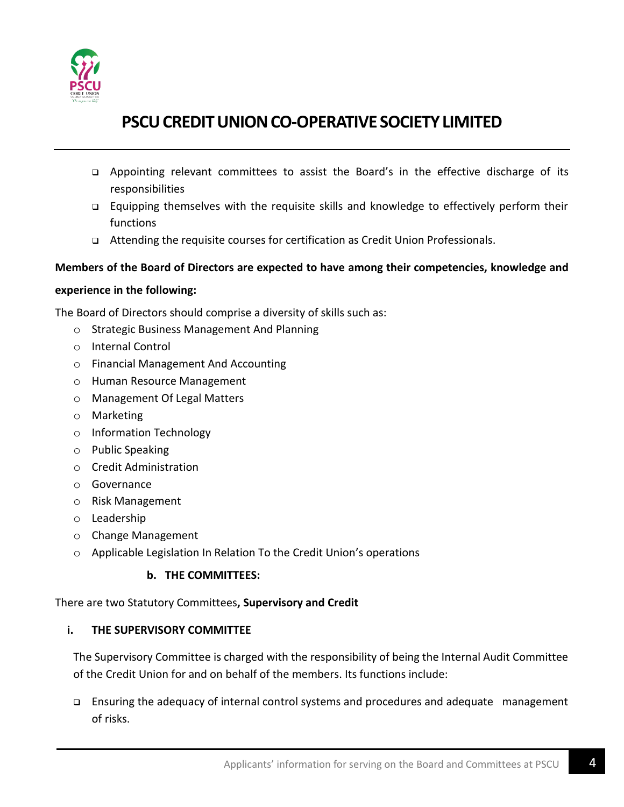

- ❑ Appointing relevant committees to assist the Board's in the effective discharge of its responsibilities
- ❑ Equipping themselves with the requisite skills and knowledge to effectively perform their functions
- ❑ Attending the requisite courses for certification as Credit Union Professionals.

#### **Members of the Board of Directors are expected to have among their competencies, knowledge and**

#### **experience in the following:**

The Board of Directors should comprise a diversity of skills such as:

- o Strategic Business Management And Planning
- o Internal Control
- o Financial Management And Accounting
- o Human Resource Management
- o Management Of Legal Matters
- o Marketing
- o Information Technology
- o Public Speaking
- o Credit Administration
- o Governance
- o Risk Management
- o Leadership
- o Change Management
- o Applicable Legislation In Relation To the Credit Union's operations

#### **b. THE COMMITTEES:**

There are two Statutory Committees**, Supervisory and Credit**

#### **i. THE SUPERVISORY COMMITTEE**

The Supervisory Committee is charged with the responsibility of being the Internal Audit Committee of the Credit Union for and on behalf of the members. Its functions include:

❑ Ensuring the adequacy of internal control systems and procedures and adequate management of risks.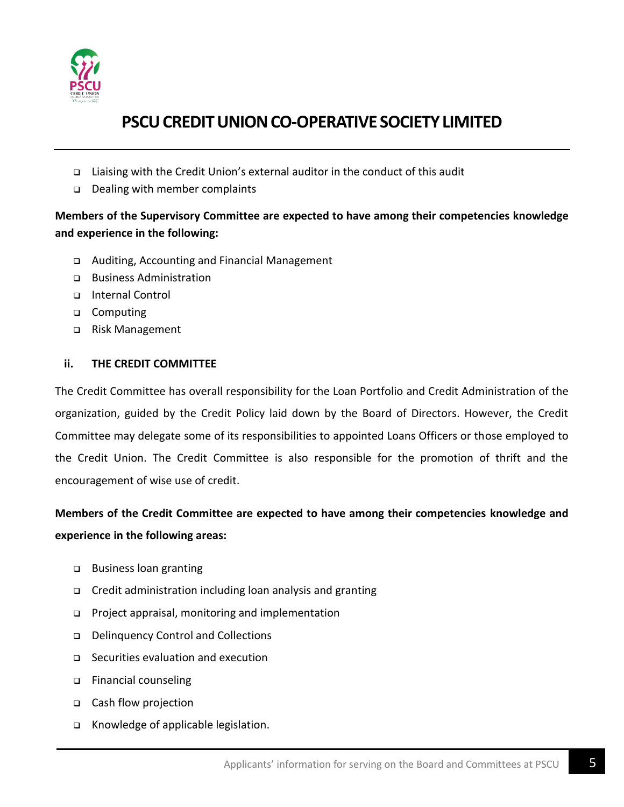

- ❑ Liaising with the Credit Union's external auditor in the conduct of this audit
- ❑ Dealing with member complaints

### **Members of the Supervisory Committee are expected to have among their competencies knowledge and experience in the following:**

- ❑ Auditing, Accounting and Financial Management
- ❑ Business Administration
- ❑ Internal Control
- ❑ Computing
- ❑ Risk Management

#### **ii. THE CREDIT COMMITTEE**

The Credit Committee has overall responsibility for the Loan Portfolio and Credit Administration of the organization, guided by the Credit Policy laid down by the Board of Directors. However, the Credit Committee may delegate some of its responsibilities to appointed Loans Officers or those employed to the Credit Union. The Credit Committee is also responsible for the promotion of thrift and the encouragement of wise use of credit.

### **Members of the Credit Committee are expected to have among their competencies knowledge and experience in the following areas:**

- ❑ Business loan granting
- ❑ Credit administration including loan analysis and granting
- ❑ Project appraisal, monitoring and implementation
- ❑ Delinquency Control and Collections
- ❑ Securities evaluation and execution
- ❑ Financial counseling
- ❑ Cash flow projection
- ❑ Knowledge of applicable legislation.